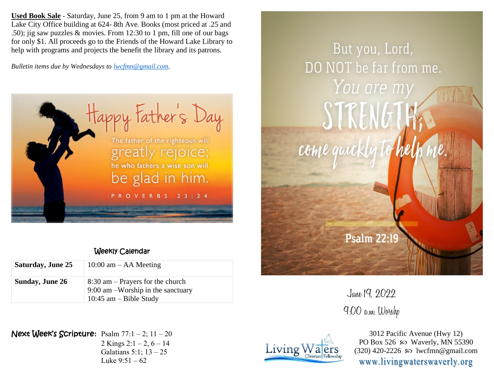**Used Book Sale** - Saturday, June 25, from 9 am to 1 pm at the Howard Lake City Office building at 624- 8th Ave. Books (most priced at .25 and .50); jig saw puzzles & movies. From 12:30 to 1 pm, fill one of our bags for only \$1. All proceeds go to the Friends of the Howard Lake Library to help with programs and projects the benefit the library and its patrons.

*Bulletin items due by Wednesdays to [lwcfmn@gmail.com.](mailto:lwcfmn@gmail.com)*



## Weekly Calendar

| <b>Saturday, June 25</b> | $10:00$ am $-$ AA Meeting                                                                               |
|--------------------------|---------------------------------------------------------------------------------------------------------|
| <b>Sunday, June 26</b>   | $8:30$ am – Prayers for the church<br>$9:00$ am $-Worship$ in the sanctuary<br>10:45 $am - Bible$ Study |

Next Week's Scripture**:** Psalm 77:1 – 2; 11 – 20 2 Kings  $2:1 - 2, 6 - 14$ 

Galatians 5:1; 13 – 25 Luke  $9:51 - 62$ 



June 19, 2022 9:00 a.m. Worshp



3012 Pacific Avenue (Hwy 12) PO Box 526  $\wp$  Waverly, MN 55390  $(320)$  420-2226 so lwcfmn@gmail.com www.livingwaterswaverly.org